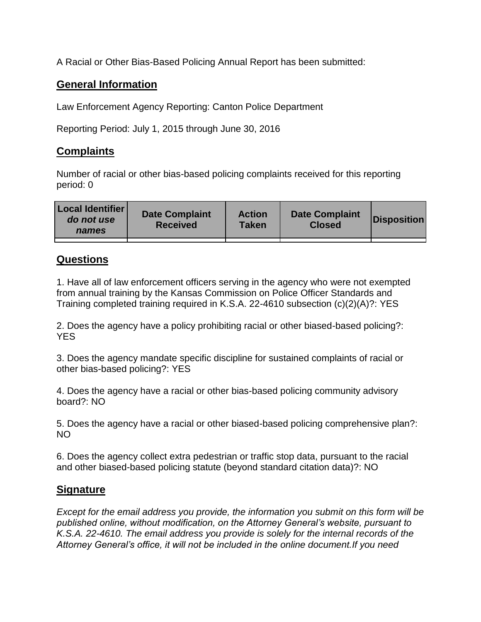A Racial or Other Bias-Based Policing Annual Report has been submitted:

## **General Information**

Law Enforcement Agency Reporting: Canton Police Department

Reporting Period: July 1, 2015 through June 30, 2016

## **Complaints**

Number of racial or other bias-based policing complaints received for this reporting period: 0

| <b>Local Identifier</b><br>do not use<br>names | <b>Date Complaint</b><br><b>Received</b> | <b>Action</b><br><b>Taken</b> | <b>Date Complaint</b><br><b>Closed</b> | Disposition |
|------------------------------------------------|------------------------------------------|-------------------------------|----------------------------------------|-------------|
|                                                |                                          |                               |                                        |             |

## **Questions**

1. Have all of law enforcement officers serving in the agency who were not exempted from annual training by the Kansas Commission on Police Officer Standards and Training completed training required in K.S.A. 22-4610 subsection (c)(2)(A)?: YES

2. Does the agency have a policy prohibiting racial or other biased-based policing?: YES

3. Does the agency mandate specific discipline for sustained complaints of racial or other bias-based policing?: YES

4. Does the agency have a racial or other bias-based policing community advisory board?: NO

5. Does the agency have a racial or other biased-based policing comprehensive plan?: NO

6. Does the agency collect extra pedestrian or traffic stop data, pursuant to the racial and other biased-based policing statute (beyond standard citation data)?: NO

## **Signature**

*Except for the email address you provide, the information you submit on this form will be published online, without modification, on the Attorney General's website, pursuant to K.S.A. 22-4610. The email address you provide is solely for the internal records of the Attorney General's office, it will not be included in the online document.If you need*